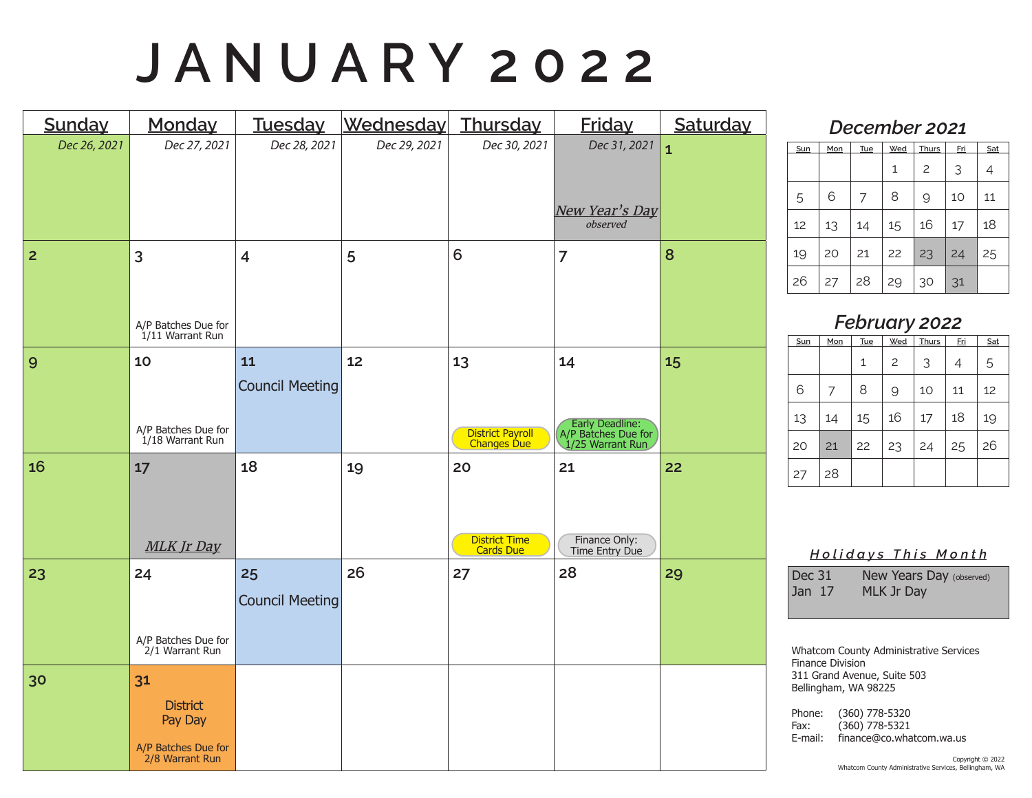# **J A N U A R Y 2 0 2 2**

| Sunday         | Monday                                                                     | Tuesday                      | Wednesday Thursday |                                                | <b>Friday</b>                                                    | Saturday     |
|----------------|----------------------------------------------------------------------------|------------------------------|--------------------|------------------------------------------------|------------------------------------------------------------------|--------------|
| Dec 26, 2021   | Dec 27, 2021                                                               | Dec 28, 2021                 | Dec 29, 2021       | Dec 30, 2021                                   | Dec 31, 2021<br>New Year's Day<br>observed                       | $\mathbf{1}$ |
| $\overline{2}$ | 3<br>A/P Batches Due for<br>1/11 Warrant Run                               | $\overline{\mathbf{4}}$      | 5                  | 6                                              | $\overline{7}$                                                   | 8            |
| 9              | 10<br>A/P Batches Due for<br>1/18 Warrant Run                              | 11<br><b>Council Meeting</b> | 12                 | 13<br>District Payroll<br>Changes Due          | 14<br>Early Deadline:<br>A/P Batches Due for<br>1/25 Warrant Run | 15           |
| 16             | 17<br>MLK Jr Day                                                           | 18                           | 19                 | 20<br><b>District Time</b><br><b>Cards Due</b> | 21<br>Finance Only:<br>Time Entry Due                            | 22           |
| 23             | 24<br>A/P Batches Due for<br>2/1 Warrant Run                               | 25<br><b>Council Meeting</b> | 26                 | 27                                             | 28                                                               | 29           |
| 30             | 31<br><b>District</b><br>Pay Day<br>A/P Batches Due for<br>2/8 Warrant Run |                              |                    |                                                |                                                                  |              |

### *December 2021*

| Sun | Mon | Tue | Wed | Thurs          | <u>Fri</u> | Sat |
|-----|-----|-----|-----|----------------|------------|-----|
|     |     |     | 1   | $\overline{c}$ | 3          | 4   |
| 5   | 6   | 7   | 8   | 9              | 10         | 11  |
| 12  | 13  | 14  | 15  | 16             | 17         | 18  |
| 19  | 20  | 21  | 22  | 23             | 24         | 25  |
| 26  | 27  | 28  | 29  | 30             | 31         |     |

### *February 2022*

| Sun | Mon | <b>Tue</b> | Wed            | <b>Thurs</b> | <u>Fri</u> | Sat |
|-----|-----|------------|----------------|--------------|------------|-----|
|     |     | 1          | $\overline{c}$ | 3            | 4          | 5   |
| 6   | 7   | 8          | 9              | 10           | 11         | 12  |
| 13  | 14  | 15         | 16             | 17           | 18         | 19  |
| 20  | 21  | 22         | 23             | 24           | 25         | 26  |
| 27  | 28  |            |                |              |            |     |

#### *H o l i d a y s T h i s M o n t h*

| Dec 31 | New Years Day (observed) |
|--------|--------------------------|
| Jan 17 | MLK Jr Day               |

Whatcom County Administrative Services Finance Division 311 Grand Avenue, Suite 503 Bellingham, WA 98225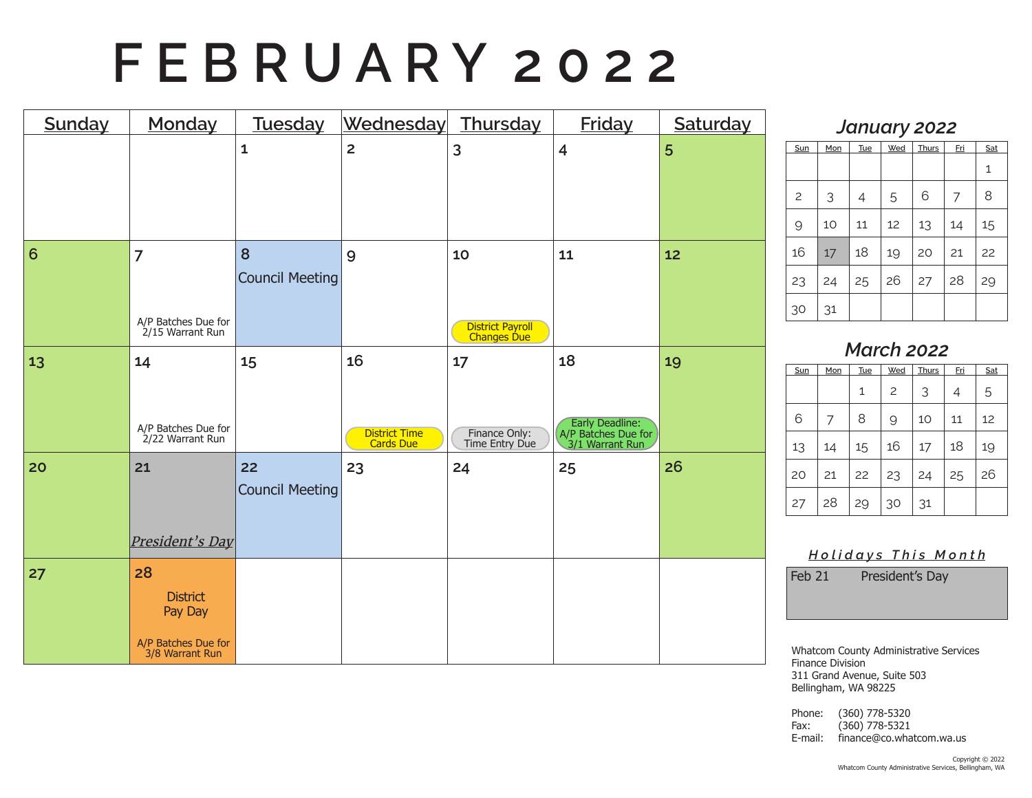# **F E B R U A R Y 2 0 2 2**

| <b>Sunday</b> | Monday                                  | Tuesday                | Wednesday Thursday                |                                 | <b>Friday</b>                                             | Saturday |
|---------------|-----------------------------------------|------------------------|-----------------------------------|---------------------------------|-----------------------------------------------------------|----------|
|               |                                         | $\mathbf{1}$           | $\overline{2}$                    | 3                               | $\overline{\mathbf{4}}$                                   | 5        |
|               |                                         |                        |                                   |                                 |                                                           |          |
|               |                                         |                        |                                   |                                 |                                                           |          |
| 6             | $\overline{7}$                          | 8                      | 9                                 | 10                              | 11                                                        | 12       |
|               |                                         | <b>Council Meeting</b> |                                   |                                 |                                                           |          |
|               | A/P Batches Due for<br>2/15 Warrant Run |                        |                                   | District Payroll<br>Changes Due |                                                           |          |
| 13            | 14                                      | 15                     | 16                                | 17                              | 18                                                        | 19       |
|               |                                         |                        |                                   |                                 |                                                           |          |
|               | A/P Batches Due for<br>2/22 Warrant Run |                        | <b>District Time</b><br>Cards Due | Finance Only:<br>Time Entry Due | Early Deadline:<br>A/P Batches Due for<br>3/1 Warrant Run |          |
| 20            | 21                                      | 22                     | 23                                | 24                              | 25                                                        | 26       |
|               |                                         | <b>Council Meeting</b> |                                   |                                 |                                                           |          |
|               | President's Day                         |                        |                                   |                                 |                                                           |          |
|               |                                         |                        |                                   |                                 |                                                           |          |
| 27            | 28<br><b>District</b>                   |                        |                                   |                                 |                                                           |          |
|               | Pay Day                                 |                        |                                   |                                 |                                                           |          |
|               | A/P Batches Due for<br>3/8 Warrant Run  |                        |                                   |                                 |                                                           |          |

### *January 2022*

| Sun            | Mon | <b>Tue</b> | Wed | <b>Thurs</b> | <u>Fri</u> | Sat |
|----------------|-----|------------|-----|--------------|------------|-----|
|                |     |            |     |              |            | 1   |
| $\overline{c}$ | 3   | 4          | 5   | 6            | 7          | 8   |
| $\mathcal{Q}$  | 10  | 11         | 12  | 13           | 14         | 15  |
| 16             | 17  | 18         | 19  | 20           | 21         | 22  |
| 23             | 24  | 25         | 26  | 27           | 28         | 29  |
| 30             | 31  |            |     |              |            |     |

### *March 2022*

| Sun | Mon | Tue | Wed            | <b>Thurs</b> | <u>Fri</u> | Sat |
|-----|-----|-----|----------------|--------------|------------|-----|
|     |     | 1   | $\overline{c}$ | 3            | 4          | 5   |
| 6   | 7   | 8   | 9              | 10           | 11         | 12  |
| 13  | 14  | 15  | 16             | 17           | 18         | 19  |
| 20  | 21  | 22  | 23             | 24           | 25         | 26  |
| 27  | 28  | 29  | 30             | 31           |            |     |

#### *H o l i d a y s T h i s M o n t h*

Feb 21 President's Day

Whatcom County Administrative Services Finance Division 311 Grand Avenue, Suite 503 Bellingham, WA 98225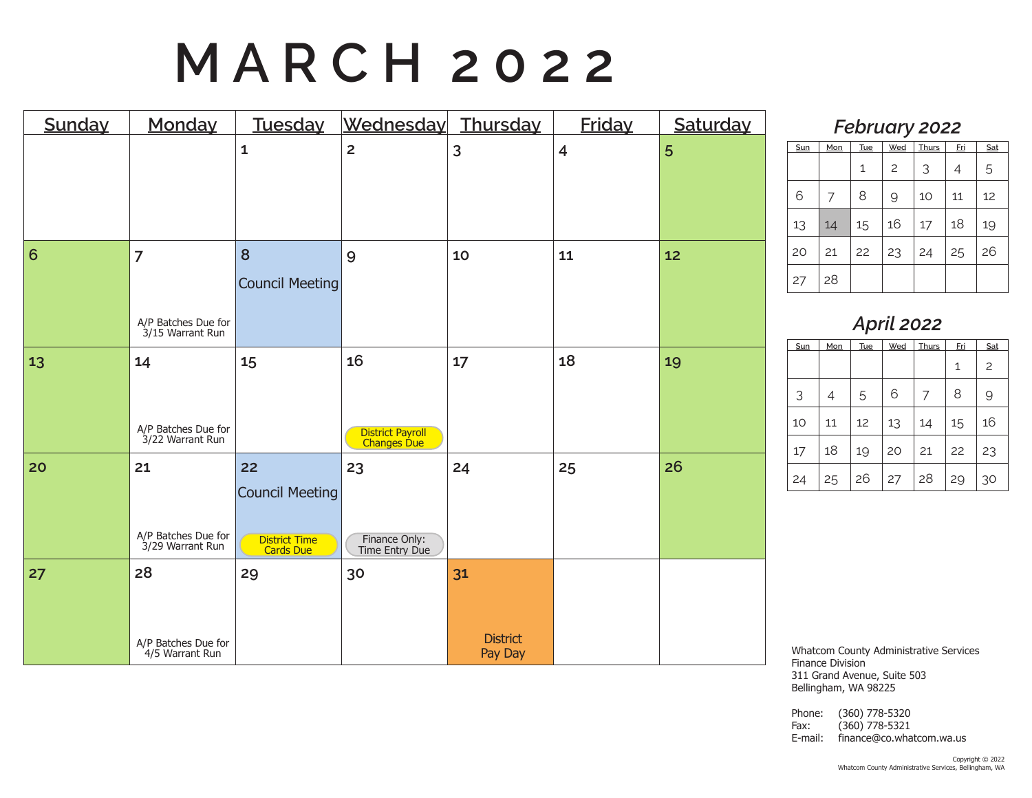# **M A R C H 2 0 2 2**

| Sunday | Monday                                                    | Tuesday                                                           | Wednesday                             | Thursday                         | <b>Friday</b>           | Saturday |
|--------|-----------------------------------------------------------|-------------------------------------------------------------------|---------------------------------------|----------------------------------|-------------------------|----------|
|        |                                                           | $\mathbf{1}$                                                      | $\overline{2}$                        | 3                                | $\overline{\mathbf{4}}$ | 5        |
| 6      | $\overline{7}$<br>A/P Batches Due for<br>3/15 Warrant Run | 8<br><b>Council Meeting</b>                                       | 9                                     | 10                               | 11                      | 12       |
| 13     | 14<br>A/P Batches Due for<br>3/22 Warrant Run             | 15                                                                | 16<br>District Payroll<br>Changes Due | 17                               | 18                      | 19       |
| 20     | 21<br>A/P Batches Due for<br>3/29 Warrant Run             | 22<br><b>Council Meeting</b><br><b>District Time</b><br>Cards Due | 23<br>Finance Only:<br>Time Entry Due | 24                               | 25                      | 26       |
| 27     | 28<br>A/P Batches Due for<br>4/5 Warrant Run              | 29                                                                | 30                                    | 31<br><b>District</b><br>Pay Day |                         |          |

### *February 2022*

| Sun | Mon | Tue | Wed            | Thurs | Fri | Sat |  |  |  |  |
|-----|-----|-----|----------------|-------|-----|-----|--|--|--|--|
|     |     | 1   | $\overline{c}$ | 3     | 4   | 5   |  |  |  |  |
| 6   | 7   | 8   | 9              | 10    | 11  | 12  |  |  |  |  |
| 13  | 14  | 15  | 16             | 17    | 18  | 19  |  |  |  |  |
| 20  | 21  | 22  | 23             | 24    | 25  | 26  |  |  |  |  |
| 27  | 28  |     |                |       |     |     |  |  |  |  |

### *April 2022*

| Sun | Mon | <b>Tue</b> | Wed | <b>Thurs</b> | <u>Fri</u> | Sat            |
|-----|-----|------------|-----|--------------|------------|----------------|
|     |     |            |     |              | 1          | $\overline{c}$ |
| 3   | 4   | 5          | 6   | 7            | 8          | 9              |
| 10  | 11  | 12         | 13  | 14           | 15         | 16             |
| 17  | 18  | 19         | 20  | 21           | 22         | 23             |
| 24  | 25  | 26         | 27  | 28           | 29         | 30             |

Whatcom County Administrative Services Finance Division 311 Grand Avenue, Suite 503 Bellingham, WA 98225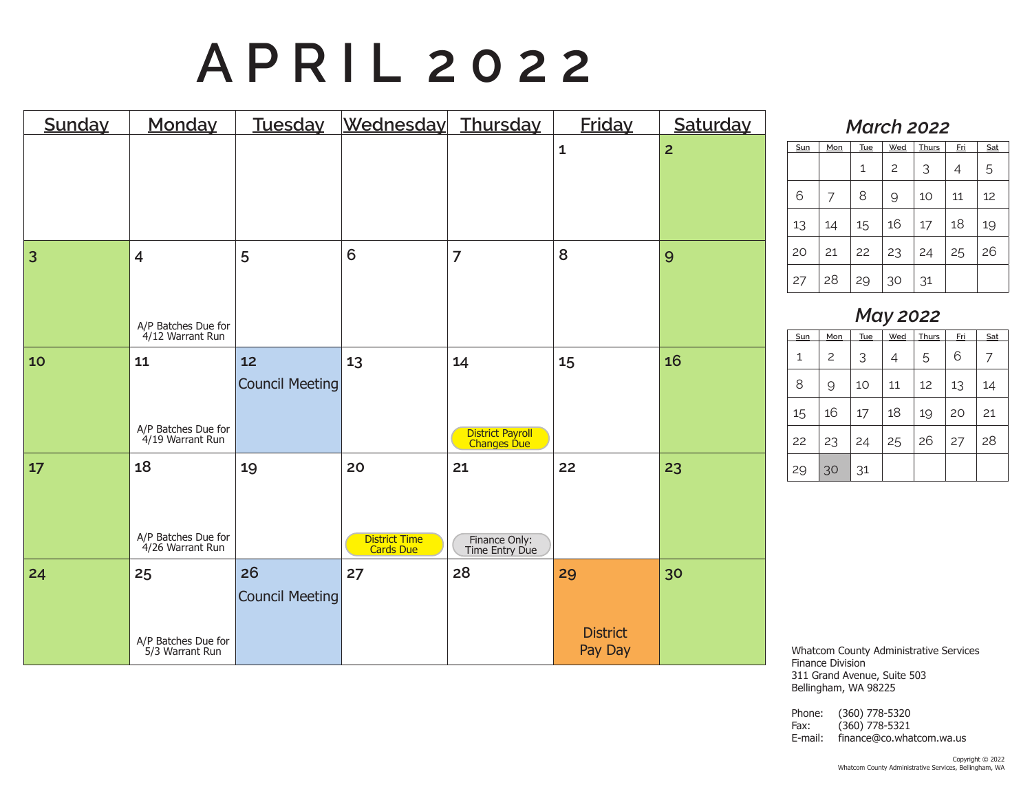# **A P R I L 2 0 2 2**

| Sunday | Monday                                                    | <b>Tuesday</b>               | Wednesday                        | <b>Thursday</b>                       | <b>Friday</b>                    | Saturday       |
|--------|-----------------------------------------------------------|------------------------------|----------------------------------|---------------------------------------|----------------------------------|----------------|
|        |                                                           |                              |                                  |                                       | $\mathbf{1}$                     | $\overline{2}$ |
| 3      | $\overline{4}$<br>A/P Batches Due for<br>4/12 Warrant Run | 5                            | 6                                | $\overline{7}$                        | 8                                | 9              |
| 10     | 11<br>A/P Batches Due for<br>4/19 Warrant Run             | 12<br><b>Council Meeting</b> | 13                               | 14<br>District Payroll<br>Changes Due | 15                               | 16             |
| 17     | 18<br>A/P Batches Due for<br>4/26 Warrant Run             | 19                           | 20<br>District Time<br>Cards Due | 21<br>Finance Only:<br>Time Entry Due | 22                               | 23             |
| 24     | 25<br>A/P Batches Due for<br>5/3 Warrant Run              | 26<br><b>Council Meeting</b> | 27                               | 28                                    | 29<br><b>District</b><br>Pay Day | 30             |

#### *March 2022*

| Sun | Mon | Tue | Wed | <b>Thurs</b> | <u>Fri</u> | Sat |  |  |  |
|-----|-----|-----|-----|--------------|------------|-----|--|--|--|
|     |     | 1   | 2   | 3            | 4          | 5   |  |  |  |
| 6   |     | 8   | 9   | 10           | 11         | 12  |  |  |  |
| 13  | 14  | 15  | 16  | 17           | 18         | 19  |  |  |  |
| 20  | 21  | 22  | 23  | 24           | 25         | 26  |  |  |  |
| 27  | 28  | 29  | 30  | 31           |            |     |  |  |  |

## *May 2022*

| Sun | Mon | <b>Tue</b> | Wed | Thurs | <u>Fri</u> | Sat |
|-----|-----|------------|-----|-------|------------|-----|
| 1   | 2   | 3          | 4   | 5     | 6          | 7   |
| 8   | 9   | 10         | 11  | 12    | 13         | 14  |
| 15  | 16  | 17         | 18  | 19    | 20         | 21  |
| 22  | 23  | 24         | 25  | 26    | 27         | 28  |
| 29  | 30  | 31         |     |       |            |     |

Whatcom County Administrative Services Finance Division 311 Grand Avenue, Suite 503 Bellingham, WA 98225

Phone: (360) 778-5320 Fax: (360) 778-5321 E-mail: finance@co.whatcom.wa.us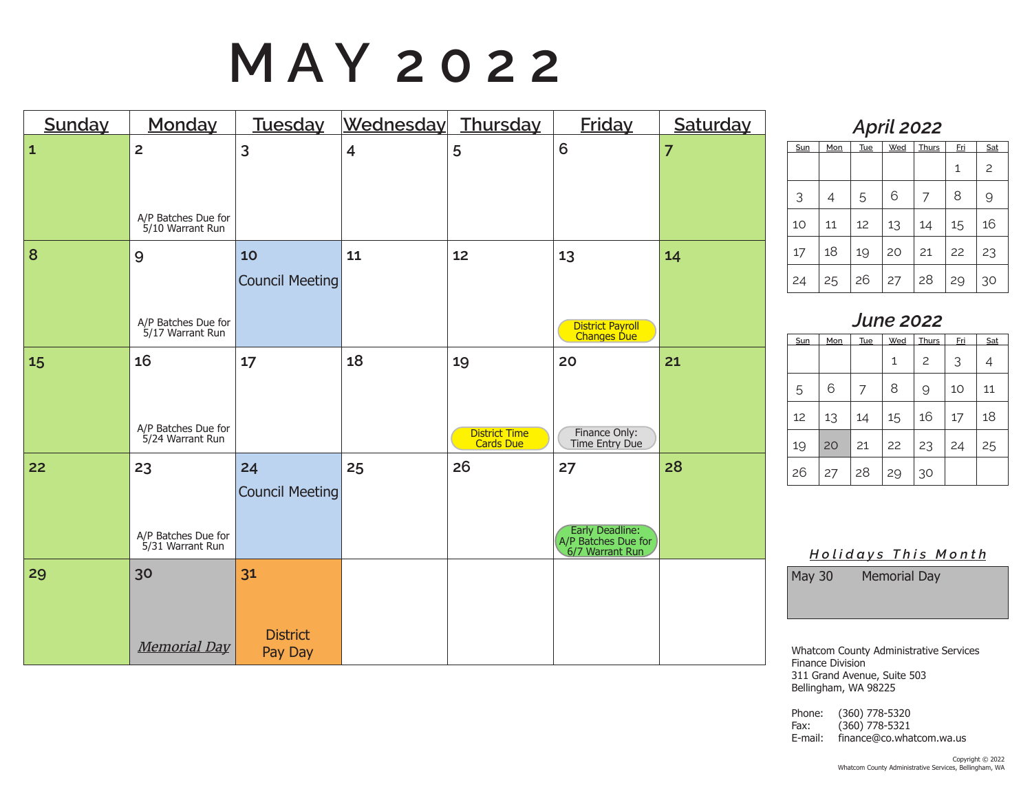# **M A Y 2 0 2 2**

| Sunday       | Monday                                                    | Tuesday                          | Wednesday               | Thursday                         | <b>Friday</b>                                                   | Saturday       |
|--------------|-----------------------------------------------------------|----------------------------------|-------------------------|----------------------------------|-----------------------------------------------------------------|----------------|
| $\mathbf{1}$ | $\overline{2}$<br>A/P Batches Due for<br>5/10 Warrant Run | 3                                | $\overline{\mathbf{4}}$ | 5                                | 6                                                               | $\overline{7}$ |
| 8            | 9<br>A/P Batches Due for<br>5/17 Warrant Run              | 10<br>Council Meeting            | 11                      | 12                               | 13<br>District Payroll<br>Changes Due                           | 14             |
| 15           | 16<br>A/P Batches Due for<br>5/24 Warrant Run             | 17                               | 18                      | 19<br>District Time<br>Cards Due | 20<br>Finance Only:<br>Time Entry Due                           | 21             |
| 22           | 23<br>A/P Batches Due for<br>5/31 Warrant Run             | 24<br><b>Council Meeting</b>     | 25                      | 26                               | 27<br>Early Deadline:<br>A/P Batches Due for<br>6/7 Warrant Run | 28             |
| 29           | 30<br><b>Memorial Day</b>                                 | 31<br><b>District</b><br>Pay Day |                         |                                  |                                                                 |                |

### *April 2022* **Sun Mon Tue Wed Thurs Fri Sat**  $1 \mid 2$ 3 4 5 6 7 8 9 10 11 12 13 14 15 16

17 18 19 20 21 22 23

24 25 26 27 28 29 30

| <b>June 2022</b> |     |     |     |                |     |     |  |  |
|------------------|-----|-----|-----|----------------|-----|-----|--|--|
| Sun              | Mon | Tue | Wed | <b>Thurs</b>   | Eri | Sat |  |  |
|                  |     |     | 1   | $\overline{c}$ | 3   | 4   |  |  |
| 5                | 6   | 7   | 8   | 9              | 10  | 11  |  |  |
| 12               | 13  | 14  | 15  | 16             | 17  | 18  |  |  |
| 19               | 20  | 21  | 22  | 23             | 24  | 25  |  |  |
| 26               | 27  | 28  | 29  | 30             |     |     |  |  |

*H o l i d a y s T h i s M o n t h*

May 30 Memorial Day

Whatcom County Administrative Services Finance Division 311 Grand Avenue, Suite 503 Bellingham, WA 98225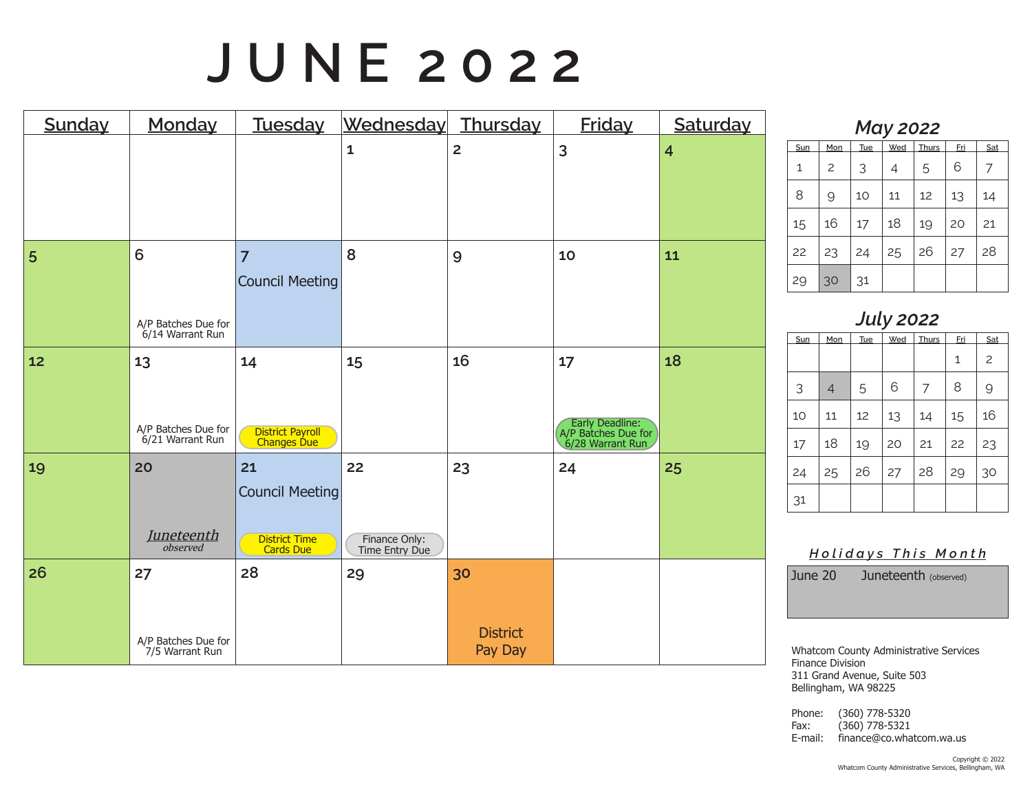# **J U N E 2 0 2 2**

| <b>Sunday</b> | Monday                                        | Tuesday                                                                  | Wednesday                             | Thursday                         | <b>Friday</b>                                                    | Saturday       |
|---------------|-----------------------------------------------|--------------------------------------------------------------------------|---------------------------------------|----------------------------------|------------------------------------------------------------------|----------------|
|               |                                               |                                                                          | $\mathbf{1}$                          | $\overline{2}$                   | 3                                                                | $\overline{4}$ |
| 5             | 6<br>A/P Batches Due for<br>6/14 Warrant Run  | $\overline{7}$<br><b>Council Meeting</b>                                 | 8                                     | 9                                | 10                                                               | 11             |
| 12            | 13<br>A/P Batches Due for<br>6/21 Warrant Run | 14<br>District Payroll<br>Changes Due                                    | 15                                    | 16                               | 17<br>Early Deadline:<br>A/P Batches Due for<br>6/28 Warrant Run | 18             |
| 19            | 20<br><b>Juneteenth</b><br>observed           | 21<br><b>Council Meeting</b><br><b>District Time</b><br><b>Cards Due</b> | 22<br>Finance Only:<br>Time Entry Due | 23                               | 24                                                               | 25             |
| 26            | 27<br>A/P Batches Due for<br>7/5 Warrant Run  | 28                                                                       | 29                                    | 30<br><b>District</b><br>Pay Day |                                                                  |                |

| <b>May 2022</b> |     |     |     |       |     |     |  |  |
|-----------------|-----|-----|-----|-------|-----|-----|--|--|
| Sun             | Mon | Tue | Wed | Thurs | Fri | Sat |  |  |
| $\mathbf{1}$    | 2   | 3   | 4   | 5     | 6   |     |  |  |
| 8               | 9   | 10  | 11  | 12    | 13  | 14  |  |  |
| 15              | 16  | 17  | 18  | 19    | 20  | 21  |  |  |
| 22              | 23  | 24  | 25  | 26    | 27  | 28  |  |  |
| 29              | 30  | 31  |     |       |     |     |  |  |

| <b>July 2022</b> |                |                                                 |    |    |    |                |  |  |  |
|------------------|----------------|-------------------------------------------------|----|----|----|----------------|--|--|--|
| Sun              | Mon            | Wed<br>Thurs<br><b>Tue</b><br><u>Fri</u><br>Sat |    |    |    |                |  |  |  |
|                  |                |                                                 |    |    | 1  | $\overline{c}$ |  |  |  |
| 3                | $\overline{4}$ | 5                                               | 6  | 7  | 8  | 9              |  |  |  |
| 10               | 11             | 12                                              | 13 | 14 | 15 | 16             |  |  |  |
| 17               | 18             | 19                                              | 20 | 21 | 22 | 23             |  |  |  |
| 24               | 25             | 26                                              | 27 | 28 | 29 | 30             |  |  |  |
| 31               |                |                                                 |    |    |    |                |  |  |  |

*H o l i d a y s T h i s M o n t h*

June 20 Juneteenth (observed)

Whatcom County Administrative Services Finance Division 311 Grand Avenue, Suite 503 Bellingham, WA 98225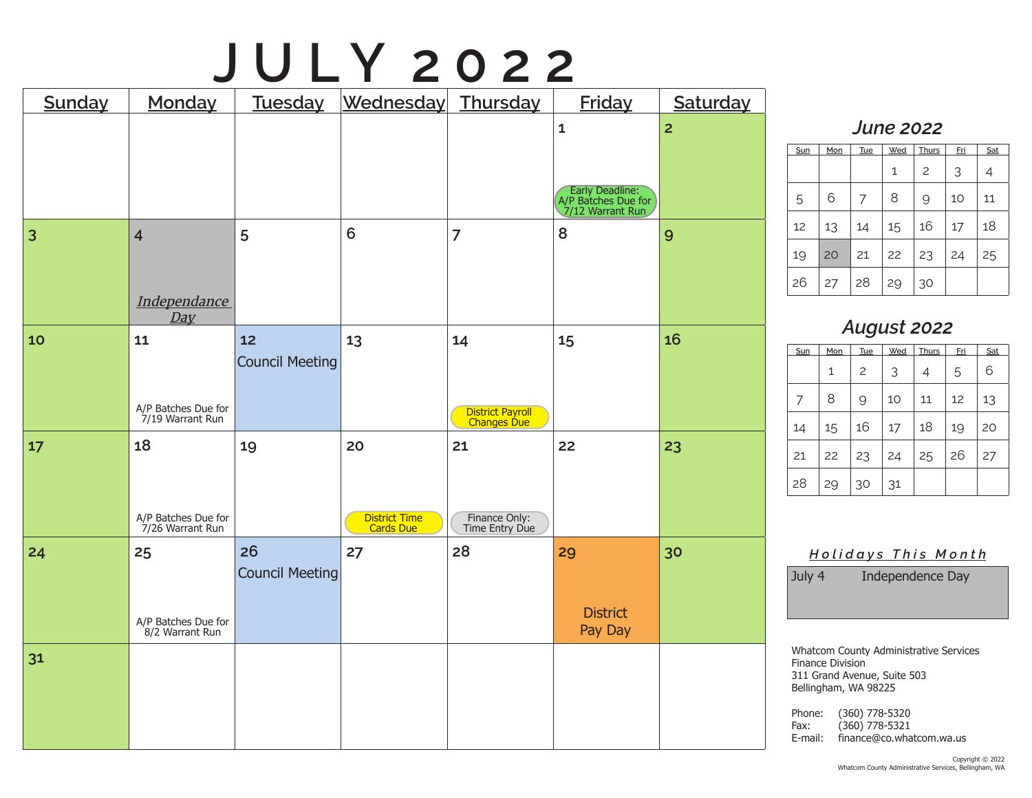# **J U L Y 2 0 2 2**

| Sunday         | Monday                                  | Tuesday                      | Wednesday Thursday         |                                 | <b>Friday</b>                                              | Saturday       |
|----------------|-----------------------------------------|------------------------------|----------------------------|---------------------------------|------------------------------------------------------------|----------------|
|                |                                         |                              |                            |                                 | $\mathbf 1$                                                | $\overline{2}$ |
|                |                                         |                              |                            |                                 |                                                            |                |
|                |                                         |                              |                            |                                 | Early Deadline:<br>A/P Batches Due for<br>7/12 Warrant Run |                |
| $\overline{3}$ | $\overline{4}$                          | 5                            | $6\phantom{1}$             | $\overline{7}$                  | 8                                                          | 9              |
|                |                                         |                              |                            |                                 |                                                            |                |
|                | Independance<br>Day                     |                              |                            |                                 |                                                            |                |
| 10             | 11                                      | 12<br><b>Council Meeting</b> | 13                         | 14                              | 15                                                         | 16             |
|                |                                         |                              |                            |                                 |                                                            |                |
|                | A/P Batches Due for<br>7/19 Warrant Run |                              |                            | District Payroll<br>Changes Due |                                                            |                |
| 17             | 18                                      | 19                           | 20                         | 21                              | 22                                                         | 23             |
|                |                                         |                              |                            |                                 |                                                            |                |
|                | A/P Batches Due for<br>7/26 Warrant Run |                              | District Time<br>Cards Due | Finance Only:<br>Time Entry Due |                                                            |                |
| 24             | 25                                      | 26                           | 27                         | 28                              | 29                                                         | 30             |
|                |                                         | <b>Council Meeting</b>       |                            |                                 |                                                            |                |
|                | A/P Batches Due for<br>8/2 Warrant Run  |                              |                            |                                 | <b>District</b><br>Pay Day                                 |                |
| 31             |                                         |                              |                            |                                 |                                                            |                |
|                |                                         |                              |                            |                                 |                                                            |                |
|                |                                         |                              |                            |                                 |                                                            |                |

#### *June 2022*

| Sun | Mon | Tue | Wed | Thurs          | <u>Fri</u> | Sat |
|-----|-----|-----|-----|----------------|------------|-----|
|     |     |     | 1   | $\overline{c}$ | 3          | 4   |
| 5   | 6   |     | 8   | 9              | 10         | 11  |
| 12  | 13  | 14  | 15  | 16             | 17         | 18  |
| 19  | 20  | 21  | 22  | 23             | 24         | 25  |
| 26  | 27  | 28  | 29  | 30             |            |     |

### *August 2022*

| Sun | Mon | <b>Tue</b> | Wed | Thurs | <u>Fri</u> | Sat |
|-----|-----|------------|-----|-------|------------|-----|
|     | 1   | 2          | 3   | 4     | 5          | 6   |
| 7   | 8   | 9          | 10  | 11    | 12         | 13  |
| 14  | 15  | 16         | 17  | 18    | 19         | 20  |
| 21  | 22  | 23         | 24  | 25    | 26         | 27  |
| 28  | 29  | 30         | 31  |       |            |     |

*H o l i d a y s T h i s M o n t h*

July 4 Independence Day

Whatcom County Administrative Services Finance Division 311 Grand Avenue, Suite 503 Bellingham, WA 98225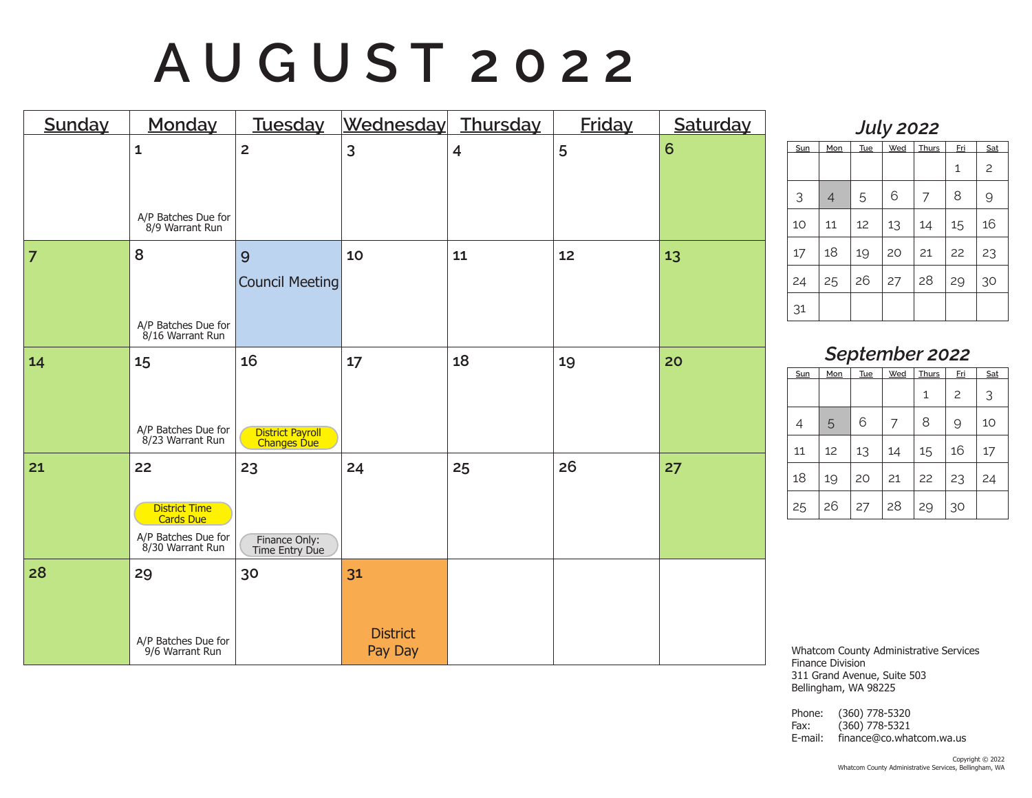# **A U G U S T 2 0 2 2**

| Sunday         | Monday                                                                      | Tuesday                                             | Wednesday                        | Thursday                | <b>Friday</b> | Saturday |
|----------------|-----------------------------------------------------------------------------|-----------------------------------------------------|----------------------------------|-------------------------|---------------|----------|
|                | $\mathbf{1}$<br>A/P Batches Due for<br>8/9 Warrant Run                      | $\overline{2}$                                      | 3                                | $\overline{\mathbf{4}}$ | 5             | 6        |
| $\overline{7}$ | 8<br>A/P Batches Due for<br>8/16 Warrant Run                                | 9<br><b>Council Meeting</b>                         | 10                               | 11                      | 12            | 13       |
| 14             | 15<br>A/P Batches Due for<br>8/23 Warrant Run                               | 16<br><b>District Payroll</b><br><b>Changes Due</b> | 17                               | 18                      | 19            | 20       |
| 21             | 22<br>District Time<br>Cards Due<br>A/P Batches Due for<br>8/30 Warrant Run | 23<br>Finance Only:<br>Time Entry Due               | 24                               | 25                      | 26            | 27       |
| 28             | 29<br>A/P Batches Due for<br>9/6 Warrant Run                                | 30                                                  | 31<br><b>District</b><br>Pay Day |                         |               |          |

| <b>July 2022</b> |                |     |     |              |     |                |  |
|------------------|----------------|-----|-----|--------------|-----|----------------|--|
| Sun              | Mon            | Tue | Wed | <b>Thurs</b> | Eri | Sat            |  |
|                  |                |     |     |              | 1   | $\overline{c}$ |  |
| 3                | $\overline{4}$ | 5   | 6   | 7            | 8   | 9              |  |
| 10               | 11             | 12  | 13  | 14           | 15  | 16             |  |
| 17               | 18             | 19  | 20  | 21           | 22  | 23             |  |
| 24               | 25             | 26  | 27  | 28           | 29  | 30             |  |
| 31               |                |     |     |              |     |                |  |

*September 2022*

| Sun | Mon | <b>Tue</b> | Wed | <b>Thurs</b> | <u>Fri</u> | Sat |
|-----|-----|------------|-----|--------------|------------|-----|
|     |     |            |     | 1            | 2          | 3   |
| 4   | 5   | 6          |     | 8            | 9          | 10  |
| 11  | 12  | 13         | 14  | 15           | 16         | 17  |
| 18  | 19  | 20         | 21  | 22           | 23         | 24  |
| 25  | 26  | 27         | 28  | 29           | 30         |     |

Whatcom County Administrative Services Finance Division 311 Grand Avenue, Suite 503 Bellingham, WA 98225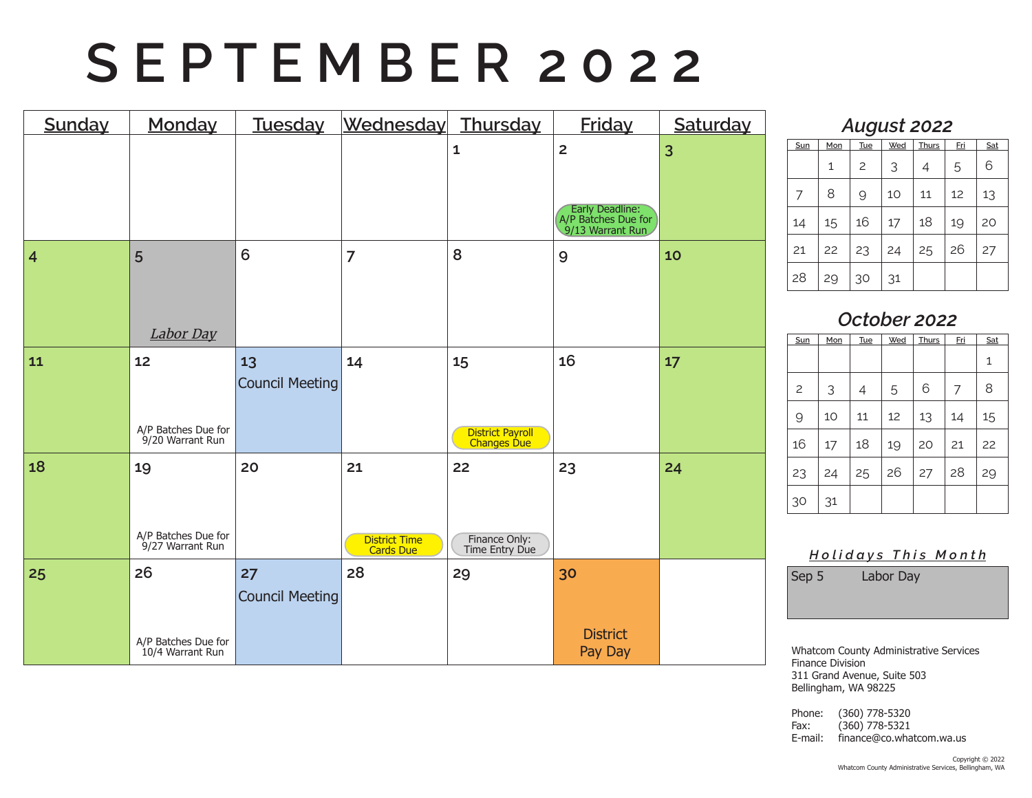# **S E P T E M B E R 2 0 2 2**

| Sunday         | Monday                                        | Tuesday                      | Wednesday                        | Thursday                              | <b>Friday</b>                                                                | Saturday |
|----------------|-----------------------------------------------|------------------------------|----------------------------------|---------------------------------------|------------------------------------------------------------------------------|----------|
|                |                                               |                              |                                  | $\mathbf{1}$                          | $\overline{2}$<br>Early Deadline:<br>A/P Batches Due for<br>9/13 Warrant Run | 3        |
| $\overline{4}$ | 5<br>Labor Day                                | 6                            | $\overline{7}$                   | 8                                     | 9                                                                            | 10       |
| 11             | 12<br>A/P Batches Due for<br>9/20 Warrant Run | 13<br><b>Council Meeting</b> | 14                               | 15<br>District Payroll<br>Changes Due | 16                                                                           | 17       |
| 18             | 19<br>A/P Batches Due for<br>9/27 Warrant Run | 20                           | 21<br>District Time<br>Cards Due | 22<br>Finance Only:<br>Time Entry Due | 23                                                                           | 24       |
| 25             | 26<br>A/P Batches Due for<br>10/4 Warrant Run | 27<br><b>Council Meeting</b> | 28                               | 29                                    | 30<br><b>District</b><br>Pay Day                                             |          |

#### *August 2022*

|     |     | ັ              |     |       |            |     |
|-----|-----|----------------|-----|-------|------------|-----|
| Sun | Mon | Tue            | Wed | Thurs | <u>Fri</u> | Sat |
|     | 1   | $\overline{c}$ | 3   | 4     | 5          | 6   |
| 7   | 8   | 9              | 10  | 11    | 12         | 13  |
| 14  | 15  | 16             | 17  | 18    | 19         | 20  |
| 21  | 22  | 23             | 24  | 25    | 26         | 27  |
| 28  | 29  | 30             | 31  |       |            |     |

### *October 2022*

| Sun            | Mon | <b>Tue</b> | Wed | <b>Thurs</b> | <u>Fri</u> | Sat |
|----------------|-----|------------|-----|--------------|------------|-----|
|                |     |            |     |              |            | 1   |
| $\overline{c}$ | 3   | 4          | 5   | 6            | 7          | 8   |
| 9              | 10  | 11         | 12  | 13           | 14         | 15  |
| 16             | 17  | 18         | 19  | 20           | 21         | 22  |
| 23             | 24  | 25         | 26  | 27           | 28         | 29  |
| 30             | 31  |            |     |              |            |     |

#### *H o l i d a y s T h i s M o n t h*

Sep 5 Labor Day

Whatcom County Administrative Services Finance Division 311 Grand Avenue, Suite 503 Bellingham, WA 98225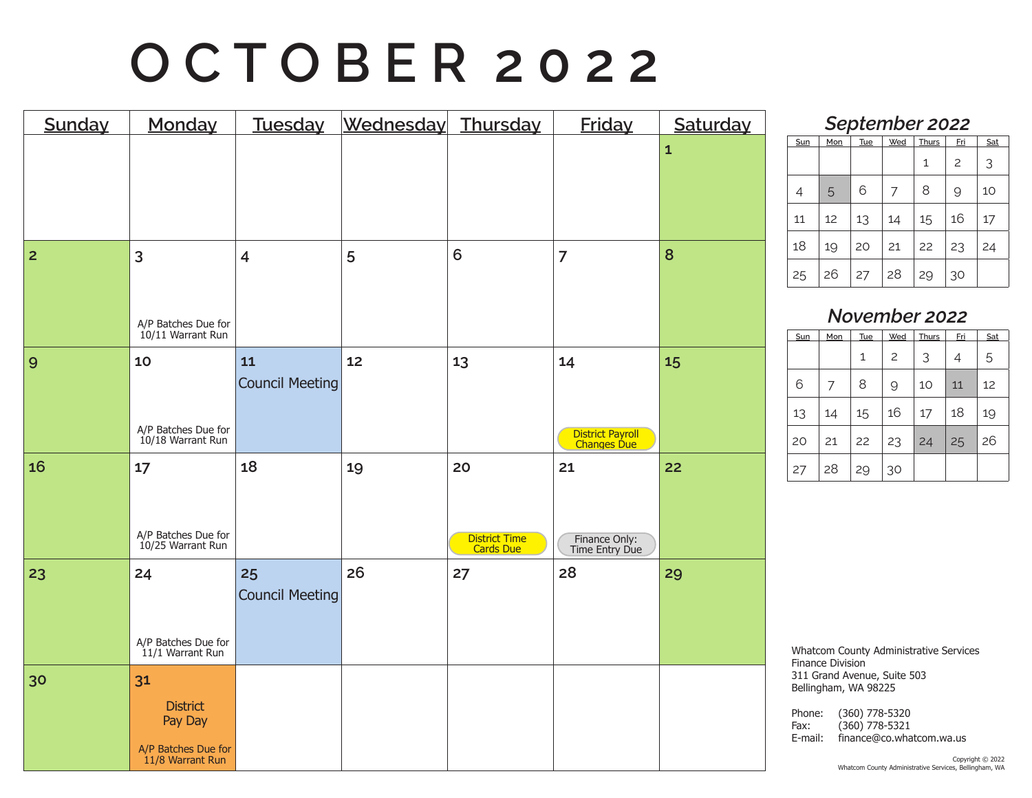# **O C T O B E R 2 0 2 2**

| Sunday         | Monday                                                                      | Tuesday                      | Wednesday Thursday |                                  | <b>Friday</b>                         | Saturday     |
|----------------|-----------------------------------------------------------------------------|------------------------------|--------------------|----------------------------------|---------------------------------------|--------------|
|                |                                                                             |                              |                    |                                  |                                       | $\mathbf{1}$ |
| $\overline{2}$ | $\overline{3}$<br>A/P Batches Due for<br>10/11 Warrant Run                  | $\overline{4}$               | 5                  | 6                                | $\overline{7}$                        | 8            |
| 9              | 10<br>A/P Batches Due for<br>10/18 Warrant Run                              | 11<br><b>Council Meeting</b> | 12                 | 13                               | 14<br>District Payroll<br>Changes Due | 15           |
| 16             | 17<br>A/P Batches Due for<br>10/25 Warrant Run                              | 18                           | 19                 | 20<br>District Time<br>Cards Due | 21<br>Finance Only:<br>Time Entry Due | 22           |
| 23             | 24<br>A/P Batches Due for<br>11/1 Warrant Run                               | 25<br><b>Council Meeting</b> | 26                 | 27                               | 28                                    | 29           |
| 30             | 31<br><b>District</b><br>Pay Day<br>A/P Batches Due for<br>11/8 Warrant Run |                              |                    |                                  |                                       |              |

| September 2022 |     |     |     |              |                |     |  |  |  |
|----------------|-----|-----|-----|--------------|----------------|-----|--|--|--|
| Sun            | Mon | Tue | Wed | <b>Thurs</b> | Fri            | Sat |  |  |  |
|                |     |     |     | 1            | $\overline{c}$ | 3   |  |  |  |
| 4              | 5   | 6   |     | 8            | 9              | 10  |  |  |  |
| 11             | 12  | 13  | 14  | 15           | 16             | 17  |  |  |  |
| 18             | 19  | 20  | 21  | 22           | 23             | 24  |  |  |  |
| 25             | 26  | 27  | 28  | 29           | 30             |     |  |  |  |

### *November 2022*

| Sun | Mon | Tue | Wed            | Thurs | <u>Fri</u> | Sat |
|-----|-----|-----|----------------|-------|------------|-----|
|     |     | 1   | $\overline{c}$ | 3     | 4          | 5   |
| 6   | 7   | 8   | 9              | 10    | 11         | 12  |
| 13  | 14  | 15  | 16             | 17    | 18         | 19  |
| 20  | 21  | 22  | 23             | 24    | 25         | 26  |
| 27  | 28  | 29  | 30             |       |            |     |

Whatcom County Administrative Services Finance Division 311 Grand Avenue, Suite 503 Bellingham, WA 98225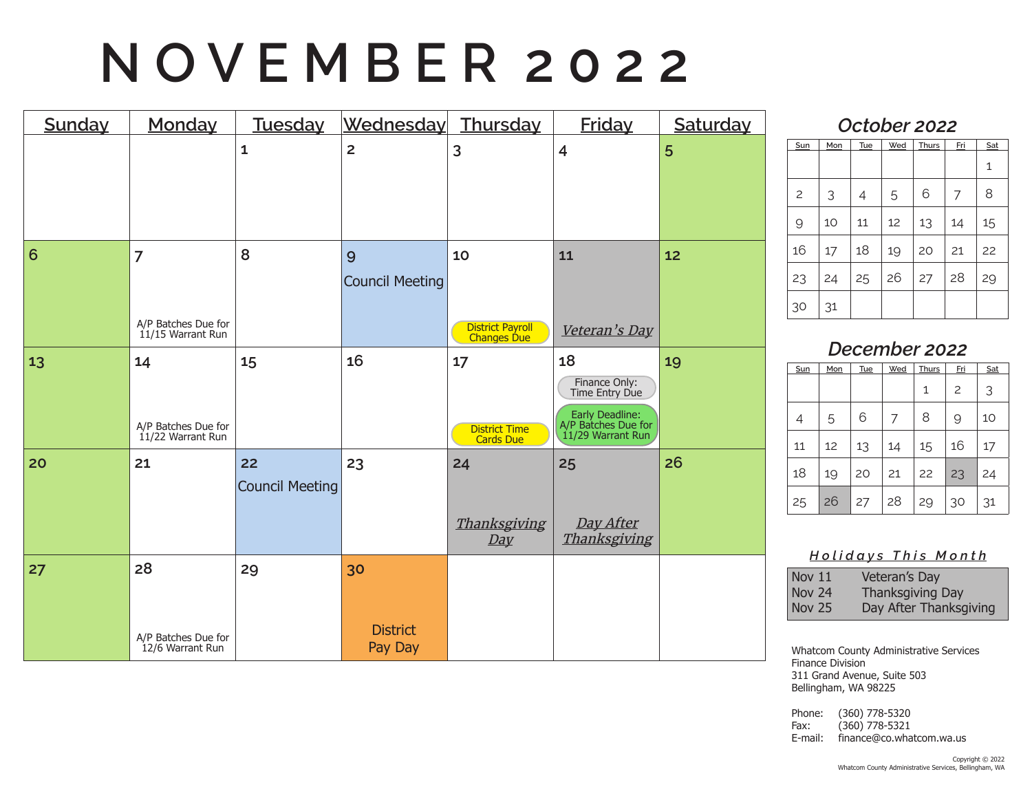# **N O V E M B E R 2 0 2 2**

| Sunday          | Monday                                                     | <b>Tuesday</b>        | Wednesday Thursday               |                                                | <b>Friday</b>                                                                                        | Saturday |
|-----------------|------------------------------------------------------------|-----------------------|----------------------------------|------------------------------------------------|------------------------------------------------------------------------------------------------------|----------|
|                 |                                                            | $\mathbf{1}$          | $\overline{2}$                   | 3                                              | $\overline{\mathbf{4}}$                                                                              | 5        |
| $6\phantom{1}6$ | $\overline{7}$<br>A/P Batches Due for<br>11/15 Warrant Run | 8                     | 9<br><b>Council Meeting</b>      | 10<br><b>District Payroll</b><br>Changes Due   | 11<br>Veteran's Day                                                                                  | 12       |
| 13              | 14<br>A/P Batches Due for<br>$11/22$ Warrant Run           | 15                    | 16                               | 17<br><b>District Time</b><br><b>Cards Due</b> | 18<br>Finance Only:<br>Time Entry Due<br>Early Deadline:<br>A/P Batches Due for<br>11/29 Warrant Run | 19       |
| 20              | 21                                                         | 22<br>Council Meeting | 23                               | 24<br>Thanksgiving<br>Day                      | 25<br>Day After<br>Thanksgiving                                                                      | 26       |
| 27              | 28<br>A/P Batches Due for<br>12/6 Warrant Run              | 29                    | 30<br><b>District</b><br>Pay Day |                                                |                                                                                                      |          |

#### *October 2022*

| Sun            | Mon | <b>Tue</b> | Wed | <b>Thurs</b> | <u>Fri</u> | Sat |
|----------------|-----|------------|-----|--------------|------------|-----|
|                |     |            |     |              |            | 1   |
| $\overline{c}$ | 3   | 4          | 5   | 6            | 7          | 8   |
| 9              | 10  | 11         | 12  | 13           | 14         | 15  |
| 16             | 17  | 18         | 19  | 20           | 21         | 22  |
| 23             | 24  | 25         | 26  | 27           | 28         | 29  |
| 30             | 31  |            |     |              |            |     |

### *December 2022*

| Sun | Mon | Tue | Wed | Thurs | <u>Fri</u>     | Sat |
|-----|-----|-----|-----|-------|----------------|-----|
|     |     |     |     | 1     | $\overline{c}$ | 3   |
| 4   | 5   | 6   | 7   | 8     | 9              | 10  |
| 11  | 12  | 13  | 14  | 15    | 16             | 17  |
| 18  | 19  | 20  | 21  | 22    | 23             | 24  |
| 25  | 26  | 27  | 28  | 29    | 30             | 31  |

#### *H o l i d a y s T h i s M o n t h*

| <b>Nov 11</b> | Veteran's Day           |
|---------------|-------------------------|
| Nov 24        | <b>Thanksgiving Day</b> |
| Nov 25        | Day After Thanksgiving  |

Whatcom County Administrative Services Finance Division 311 Grand Avenue, Suite 503 Bellingham, WA 98225